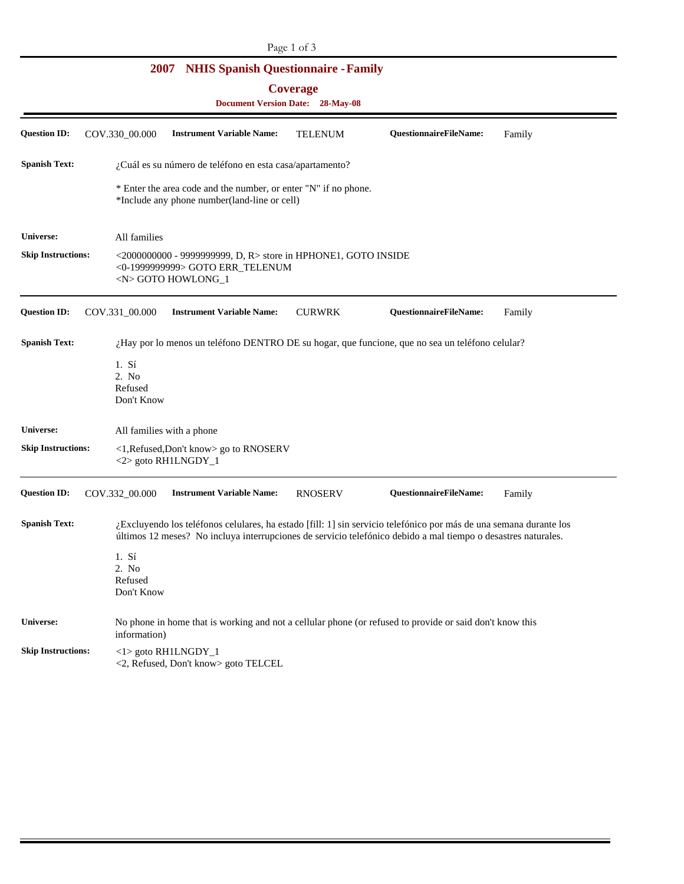| Page 1 of 3                                                |                                                                                                                                                                                                                                     |  |  |  |  |  |  |
|------------------------------------------------------------|-------------------------------------------------------------------------------------------------------------------------------------------------------------------------------------------------------------------------------------|--|--|--|--|--|--|
|                                                            | <b>NHIS Spanish Questionnaire - Family</b><br>2007                                                                                                                                                                                  |  |  |  |  |  |  |
| <b>Coverage</b><br><b>Document Version Date: 28-May-08</b> |                                                                                                                                                                                                                                     |  |  |  |  |  |  |
|                                                            |                                                                                                                                                                                                                                     |  |  |  |  |  |  |
| <b>Spanish Text:</b>                                       | ¿Cuál es su número de teléfono en esta casa/apartamento?                                                                                                                                                                            |  |  |  |  |  |  |
|                                                            | * Enter the area code and the number, or enter "N" if no phone.<br>*Include any phone number(land-line or cell)                                                                                                                     |  |  |  |  |  |  |
| Universe:                                                  | All families                                                                                                                                                                                                                        |  |  |  |  |  |  |
| <b>Skip Instructions:</b>                                  | $\leq$ 2000000000 - 9999999999, D, R> store in HPHONE1, GOTO INSIDE<br><0-1999999999> GOTO ERR_TELENUM<br><n> GOTO HOWLONG_1</n>                                                                                                    |  |  |  |  |  |  |
| <b>Question ID:</b>                                        | COV.331_00.000<br><b>Instrument Variable Name:</b><br><b>CURWRK</b><br>QuestionnaireFileName:<br>Family                                                                                                                             |  |  |  |  |  |  |
| <b>Spanish Text:</b>                                       | ¿Hay por lo menos un teléfono DENTRO DE su hogar, que funcione, que no sea un teléfono celular?                                                                                                                                     |  |  |  |  |  |  |
|                                                            | 1. S <sub>1</sub><br>2. No<br>Refused<br>Don't Know                                                                                                                                                                                 |  |  |  |  |  |  |
| Universe:                                                  | All families with a phone                                                                                                                                                                                                           |  |  |  |  |  |  |
| <b>Skip Instructions:</b>                                  | <1, Refused, Don't know> go to RNOSERV<br>$<$ 2> goto RH1LNGDY_1                                                                                                                                                                    |  |  |  |  |  |  |
| <b>Question ID:</b>                                        | COV.332_00.000<br><b>Instrument Variable Name:</b><br><b>RNOSERV</b><br><b>QuestionnaireFileName:</b><br>Family                                                                                                                     |  |  |  |  |  |  |
| <b>Spanish Text:</b>                                       | ¿Excluyendo los teléfonos celulares, ha estado [fill: 1] sin servicio telefónico por más de una semana durante los<br>últimos 12 meses? No incluya interrupciones de servicio telefónico debido a mal tiempo o desastres naturales. |  |  |  |  |  |  |
|                                                            | 1. S <sub>1</sub><br>2. No<br>Refused<br>Don't Know                                                                                                                                                                                 |  |  |  |  |  |  |
| <b>Universe:</b>                                           | No phone in home that is working and not a cellular phone (or refused to provide or said don't know this<br>information)                                                                                                            |  |  |  |  |  |  |
| <b>Skip Instructions:</b>                                  | <1> goto RH1LNGDY_1<br><2, Refused, Don't know> goto TELCEL                                                                                                                                                                         |  |  |  |  |  |  |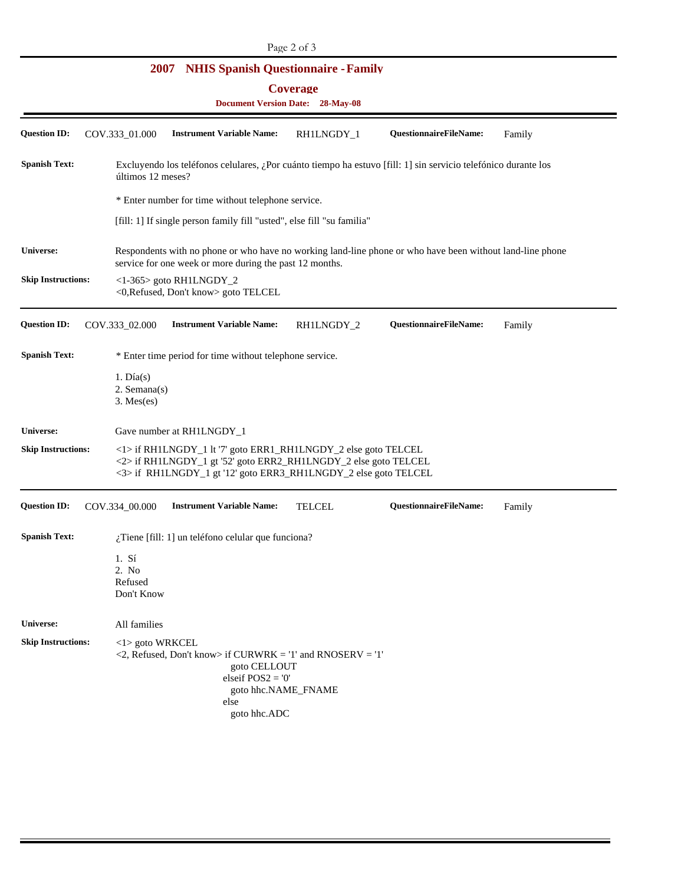## **2007 NHIS Spanish Questionnaire - Family**

**Coverage** 

| <b>Document Version Date:</b> |  | <b>28-May-08</b> |
|-------------------------------|--|------------------|
|                               |  |                  |

| <b>Question ID:</b>       | COV.333_01.000                                                                                                                                                                                       | <b>Instrument Variable Name:</b>                                                                                                  | RH1LNGDY_1          | QuestionnaireFileName: | Family |  |  |
|---------------------------|------------------------------------------------------------------------------------------------------------------------------------------------------------------------------------------------------|-----------------------------------------------------------------------------------------------------------------------------------|---------------------|------------------------|--------|--|--|
| <b>Spanish Text:</b>      | Excluyendo los teléfonos celulares, ¿Por cuánto tiempo ha estuvo [fill: 1] sin servicio telefónico durante los<br>últimos 12 meses?                                                                  |                                                                                                                                   |                     |                        |        |  |  |
|                           | * Enter number for time without telephone service.                                                                                                                                                   |                                                                                                                                   |                     |                        |        |  |  |
|                           | [fill: 1] If single person family fill "usted", else fill "su familia"                                                                                                                               |                                                                                                                                   |                     |                        |        |  |  |
| Universe:                 | Respondents with no phone or who have no working land-line phone or who have been without land-line phone<br>service for one week or more during the past 12 months.                                 |                                                                                                                                   |                     |                        |        |  |  |
| <b>Skip Instructions:</b> | $<1-365>$ goto RH1LNGDY_2<br><0, Refused, Don't know> goto TELCEL                                                                                                                                    |                                                                                                                                   |                     |                        |        |  |  |
| <b>Question ID:</b>       | COV.333_02.000                                                                                                                                                                                       | <b>Instrument Variable Name:</b>                                                                                                  | RH1LNGDY_2          | QuestionnaireFileName: | Family |  |  |
| <b>Spanish Text:</b>      | * Enter time period for time without telephone service.                                                                                                                                              |                                                                                                                                   |                     |                        |        |  |  |
|                           | $1. \text{Día}(s)$<br>$2.$ Semana $(s)$<br>$3.$ Mes $(es)$                                                                                                                                           |                                                                                                                                   |                     |                        |        |  |  |
| Universe:                 |                                                                                                                                                                                                      | Gave number at RH1LNGDY_1                                                                                                         |                     |                        |        |  |  |
| <b>Skip Instructions:</b> | <1> if RH1LNGDY_1 lt '7' goto ERR1_RH1LNGDY_2 else goto TELCEL<br><2> if RH1LNGDY_1 gt '52' goto ERR2_RH1LNGDY_2 else goto TELCEL<br><3> if RH1LNGDY_1 gt '12' goto ERR3_RH1LNGDY_2 else goto TELCEL |                                                                                                                                   |                     |                        |        |  |  |
| <b>Question ID:</b>       | COV.334_00.000                                                                                                                                                                                       | <b>Instrument Variable Name:</b>                                                                                                  | <b>TELCEL</b>       | QuestionnaireFileName: | Family |  |  |
| <b>Spanish Text:</b>      |                                                                                                                                                                                                      | $i$ Tiene [fill: 1] un teléfono celular que funciona?                                                                             |                     |                        |        |  |  |
|                           | $1. S$ í<br>2. No<br>Refused<br>Don't Know                                                                                                                                                           |                                                                                                                                   |                     |                        |        |  |  |
| <b>Universe:</b>          | All families                                                                                                                                                                                         |                                                                                                                                   |                     |                        |        |  |  |
| <b>Skip Instructions:</b> | <1> goto WRKCEL                                                                                                                                                                                      | $\langle 2,$ Refused, Don't know> if CURWRK = '1' and RNOSERV = '1'<br>goto CELLOUT<br>elseif $POS2 = 0'$<br>else<br>goto hhc.ADC | goto hhc.NAME_FNAME |                        |        |  |  |